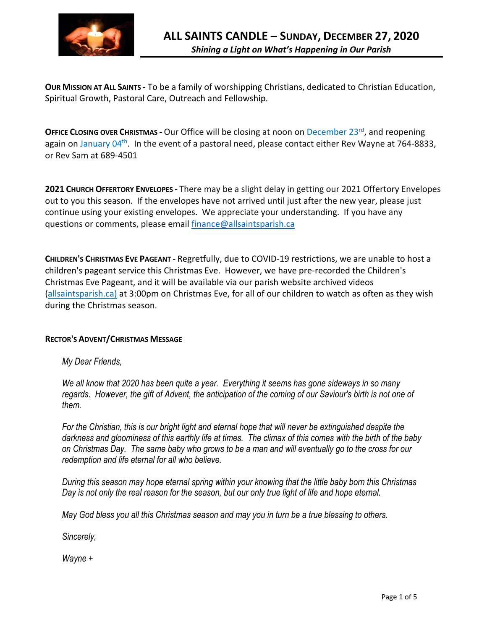

**OUR MISSION AT ALL SAINTS -** To be a family of worshipping Christians, dedicated to Christian Education, Spiritual Growth, Pastoral Care, Outreach and Fellowship.

**OFFICE CLOSING OVER CHRISTMAS -** Our Office will be closing at noon on December 23<sup>rd</sup>, and reopening again on January 04<sup>th</sup>. In the event of a pastoral need, please contact either Rev Wayne at 764-8833, or Rev Sam at 689-4501

**2021 CHURCH OFFERTORY ENVELOPES -** There may be a slight delay in getting our 2021 Offertory Envelopes out to you this season. If the envelopes have not arrived until just after the new year, please just continue using your existing envelopes. We appreciate your understanding. If you have any questions or comments, please email finance@allsaintsparish.ca

**CHILDREN'S CHRISTMAS EVE PAGEANT -** Regretfully, due to COVID-19 restrictions, we are unable to host a children's pageant service this Christmas Eve. However, we have pre-recorded the Children's Christmas Eve Pageant, and it will be available via our parish website archived videos (allsaintsparish.ca) at 3:00pm on Christmas Eve, for all of our children to watch as often as they wish during the Christmas season.

# **RECTOR'S ADVENT/CHRISTMAS MESSAGE**

*My Dear Friends,*

*We all know that 2020 has been quite a year. Everything it seems has gone sideways in so many regards. However, the gift of Advent, the anticipation of the coming of our Saviour's birth is not one of them.*

*For the Christian, this is our bright light and eternal hope that will never be extinguished despite the darkness and gloominess of this earthly life at times. The climax of this comes with the birth of the baby on Christmas Day. The same baby who grows to be a man and will eventually go to the cross for our redemption and life eternal for all who believe.*

*During this season may hope eternal spring within your knowing that the little baby born this Christmas Day is not only the real reason for the season, but our only true light of life and hope eternal.*

*May God bless you all this Christmas season and may you in turn be a true blessing to others.*

*Sincerely,*

*Wayne +*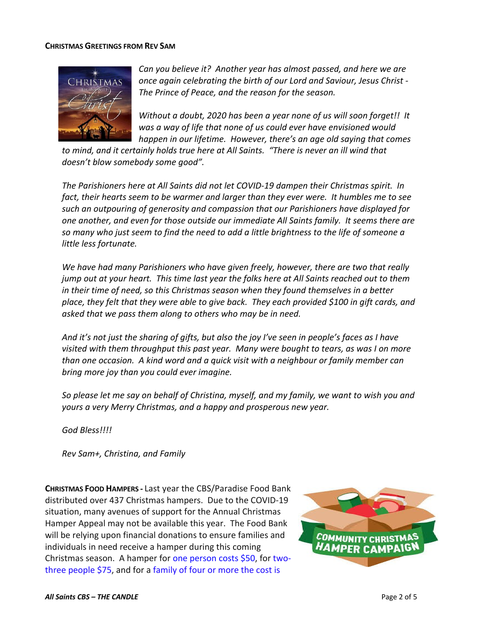### **CHRISTMAS GREETINGS FROM REV SAM**



*Can you believe it? Another year has almost passed, and here we are once again celebrating the birth of our Lord and Saviour, Jesus Christ - The Prince of Peace, and the reason for the season.*

*Without a doubt, 2020 has been a year none of us will soon forget!! It was a way of life that none of us could ever have envisioned would happen in our lifetime. However, there's an age old saying that comes* 

*to mind, and it certainly holds true here at All Saints. "There is never an ill wind that doesn't blow somebody some good".*

*The Parishioners here at All Saints did not let COVID-19 dampen their Christmas spirit. In fact, their hearts seem to be warmer and larger than they ever were. It humbles me to see such an outpouring of generosity and compassion that our Parishioners have displayed for one another, and even for those outside our immediate All Saints family. It seems there are so many who just seem to find the need to add a little brightness to the life of someone a little less fortunate.*

*We have had many Parishioners who have given freely, however, there are two that really jump out at your heart. This time last year the folks here at All Saints reached out to them in their time of need, so this Christmas season when they found themselves in a better place, they felt that they were able to give back. They each provided \$100 in gift cards, and asked that we pass them along to others who may be in need.*

*And it's not just the sharing of gifts, but also the joy I've seen in people's faces as I have visited with them throughput this past year. Many were bought to tears, as was I on more than one occasion. A kind word and a quick visit with a neighbour or family member can bring more joy than you could ever imagine.*

*So please let me say on behalf of Christina, myself, and my family, we want to wish you and yours a very Merry Christmas, and a happy and prosperous new year.*

*God Bless!!!!*

*Rev Sam+, Christina, and Family*

**CHRISTMAS FOOD HAMPERS -** Last year the CBS/Paradise Food Bank distributed over 437 Christmas hampers. Due to the COVID-19 situation, many avenues of support for the Annual Christmas Hamper Appeal may not be available this year. The Food Bank will be relying upon financial donations to ensure families and individuals in need receive a hamper during this coming Christmas season. A hamper for one person costs \$50, for twothree people \$75, and for a family of four or more the cost is

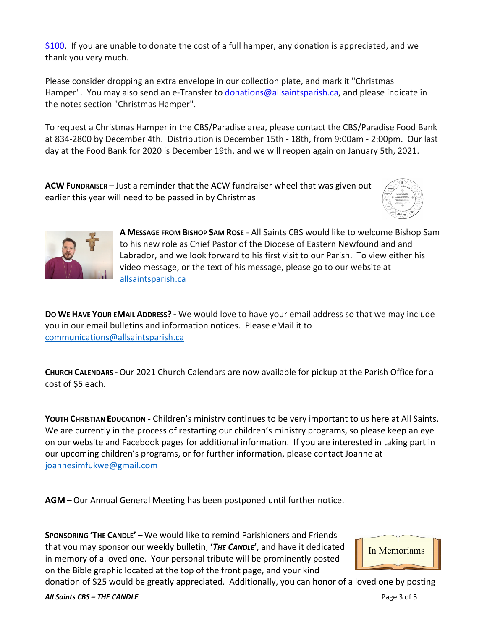\$100. If you are unable to donate the cost of a full hamper, any donation is appreciated, and we thank you very much.

Please consider dropping an extra envelope in our collection plate, and mark it "Christmas Hamper". You may also send an e-Transfer to donations@allsaintsparish.ca, and please indicate in the notes section "Christmas Hamper".

To request a Christmas Hamper in the CBS/Paradise area, please contact the CBS/Paradise Food Bank at 834-2800 by December 4th. Distribution is December 15th - 18th, from 9:00am - 2:00pm. Our last day at the Food Bank for 2020 is December 19th, and we will reopen again on January 5th, 2021.

**ACW FUNDRAISER –** Just a reminder that the ACW fundraiser wheel that was given out earlier this year will need to be passed in by Christmas





**A MESSAGE FROM BISHOP SAM ROSE** - All Saints CBS would like to welcome Bishop Sam to his new role as Chief Pastor of the Diocese of Eastern Newfoundland and Labrador, and we look forward to his first visit to our Parish. To view either his video message, or the text of his message, please go to our website at allsaintsparish.ca

**DO WE HAVE YOUR EMAIL ADDRESS? -** We would love to have your email address so that we may include you in our email bulletins and information notices. Please eMail it to communications@allsaintsparish.ca

**CHURCH CALENDARS -** Our 2021 Church Calendars are now available for pickup at the Parish Office for a cost of \$5 each.

**YOUTH CHRISTIAN EDUCATION** - Children's ministry continues to be very important to us here at All Saints. We are currently in the process of restarting our children's ministry programs, so please keep an eye on our website and Facebook pages for additional information. If you are interested in taking part in our upcoming children's programs, or for further information, please contact Joanne at joannesimfukwe@gmail.com

**AGM –** Our Annual General Meeting has been postponed until further notice.

**SPONSORING 'THE CANDLE'** – We would like to remind Parishioners and Friends that you may sponsor our weekly bulletin, **'***THE CANDLE***'**, and have it dedicated in memory of a loved one. Your personal tribute will be prominently posted on the Bible graphic located at the top of the front page, and your kind



donation of \$25 would be greatly appreciated. Additionally, you can honor of a loved one by posting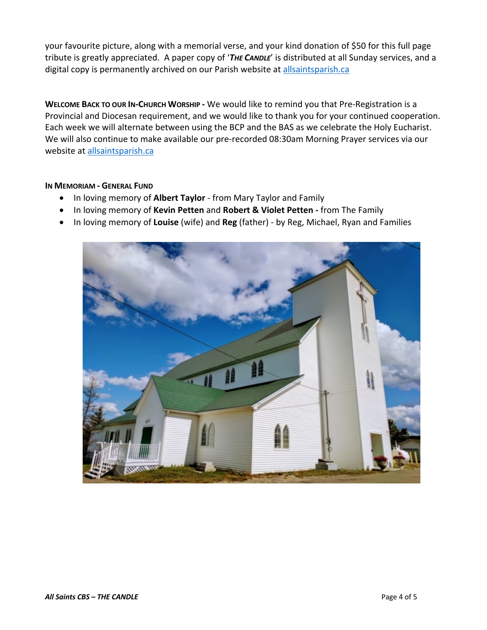your favourite picture, along with a memorial verse, and your kind donation of \$50 for this full page tribute is greatly appreciated. A paper copy of '*THE CANDLE*' is distributed at all Sunday services, and a digital copy is permanently archived on our Parish website at allsaintsparish.ca

**WELCOME BACK TO OUR IN-CHURCH WORSHIP -** We would like to remind you that Pre-Registration is a Provincial and Diocesan requirement, and we would like to thank you for your continued cooperation. Each week we will alternate between using the BCP and the BAS as we celebrate the Holy Eucharist. We will also continue to make available our pre-recorded 08:30am Morning Prayer services via our website at allsaintsparish.ca

## **IN MEMORIAM - GENERAL FUND**

- In loving memory of **Albert Taylor** from Mary Taylor and Family
- In loving memory of **Kevin Petten** and **Robert & Violet Petten -** from The Family
- In loving memory of **Louise** (wife) and **Reg** (father) by Reg, Michael, Ryan and Families